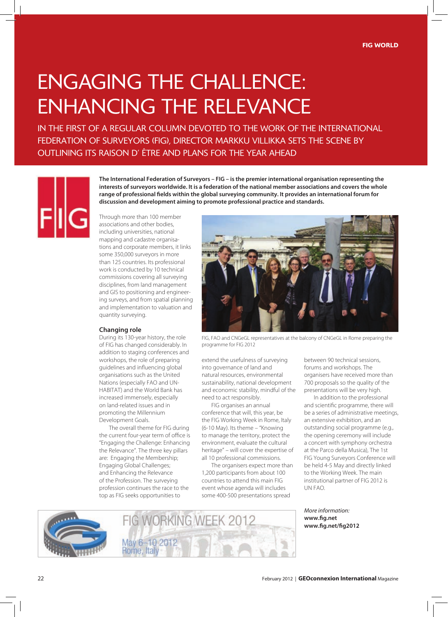## engAging the chAllence: enhAncing the relevAnce

in the First oF A regulAr column devoted to the work oF the internAtionAl FEDERATION OF SURVEYORS (FIG), DIRECTOR MARKKU VILLIKKA SETS THE SCENE BY outlining its rAison d' être And plAns For the yeAr AheAd



**The International Federation of Surveyors – FIG – is the premier international organisation representing the interests of surveyors worldwide. It is a federation of the national member associations and covers the whole range of professional fields within the global surveying community. It provides an international forum for discussion and development aiming to promote professional practice and standards.** 

Through more than 100 member associations and other bodies, including universities, national mapping and cadastre organisations and corporate members, it links some 350,000 surveyors in more than 125 countries. Its professional work is conducted by 10 technical commissions covering all surveying disciplines, from land management and GIS to positioning and engineering surveys, and from spatial planning and implementation to valuation and quantity surveying.

## **Changing role**

During its 130-year history, the role of FIG has changed considerably. In addition to staging conferences and workshops, the role of preparing guidelines and influencing global organisations such as the United Nations (especially FAO and UN-HABITAT) and the World Bank has increased immensely, especially on land-related issues and in promoting the Millennium Development Goals.

The overall theme for FIG during the current four-year term of office is "Engaging the Challenge: Enhancing the Relevance". The three key pillars are: Engaging the Membership; Engaging Global Challenges; and Enhancing the Relevance of the Profession. The surveying profession continues the race to the top as FIG seeks opportunities to



FIG, FAO and CNGeGL representatives at the balcony of CNGeGL in Rome preparing the programme for FIG 2012

extend the usefulness of surveying into governance of land and natural resources, environmental sustainability, national development and economic stability, mindful of the need to act responsibly.

FIG organises an annual conference that will, this year, be the FIG Working Week in Rome, Italy (6-10 May). Its theme – "Knowing to manage the territory, protect the environment, evaluate the cultural heritage" – will cover the expertise of all 10 professional commissions.

The organisers expect more than 1,200 participants from about 100 countries to attend this main FIG event whose agenda will includes some 400-500 presentations spread

between 90 technical sessions, forums and workshops. The organisers have received more than 700 proposals so the quality of the presentations will be very high.

In addition to the professional and scientific programme, there will be a series of administrative meetings, an extensive exhibition, and an outstanding social programme (e.g., the opening ceremony will include a concert with symphony orchestra at the Parco della Musica), The 1st FIG Young Surveyors Conference will be held 4-5 May and directly linked to the Working Week. The main institutional partner of FIG 2012 is UN FAO.

*More information:*  **www.fig.net** **www.fig.net/fig2012**